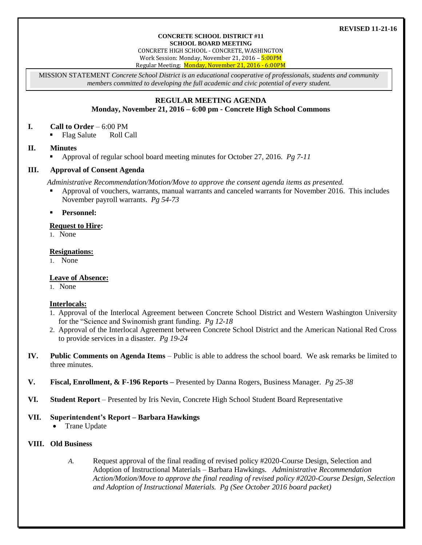# **REVISED 11-21-16**

#### **CONCRETE SCHOOL DISTRICT #11 SCHOOL BOARD MEETING**

CONCRETE HIGH SCHOOL - CONCRETE, WASHINGTON Work Session: Monday, November 21, 2016 – 5:00PM Regular Meeting: Monday, November 21, 2016 - 6:00PM

MISSION STATEMENT *Concrete School District is an educational cooperative of professionals, students and community members committed to developing the full academic and civic potential of every student.*

# **REGULAR MEETING AGENDA**

# **Monday, November 21, 2016 – 6:00 pm - Concrete High School Commons**

# **I. Call to Order** – 6:00 PM

• Flag Salute Roll Call

# **II. Minutes**

Approval of regular school board meeting minutes for October 27, 2016. *Pg 7-11*

# **III. Approval of Consent Agenda**

*Administrative Recommendation/Motion/Move to approve the consent agenda items as presented.*

- Approval of vouchers, warrants, manual warrants and canceled warrants for November 2016. This includes November payroll warrants. *Pg 54-73*
- **Personnel:**

# **Request to Hire:**

1. None

### **Resignations:**

1. None

# **Leave of Absence:**

1. None

# **Interlocals:**

- 1. Approval of the Interlocal Agreement between Concrete School District and Western Washington University for the "Science and Swinomish grant funding. *Pg 12-18*
- 2. Approval of the Interlocal Agreement between Concrete School District and the American National Red Cross to provide services in a disaster. *Pg 19-24*
- **IV. Public Comments on Agenda Items** Public is able to address the school board. We ask remarks be limited to three minutes.
- **V. Fiscal, Enrollment, & F-196 Reports –** Presented by Danna Rogers, Business Manager. *Pg 25-38*
- **VI. Student Report** Presented by Iris Nevin, Concrete High School Student Board Representative

# **VII. Superintendent's Report – Barbara Hawkings**

• Trane Update

# **VIII. Old Business**

*A.* Request approval of the final reading of revised policy #2020-Course Design, Selection and Adoption of Instructional Materials – Barbara Hawkings. *Administrative Recommendation Action/Motion/Move to approve the final reading of revised policy #2020-Course Design, Selection and Adoption of Instructional Materials. Pg (See October 2016 board packet)*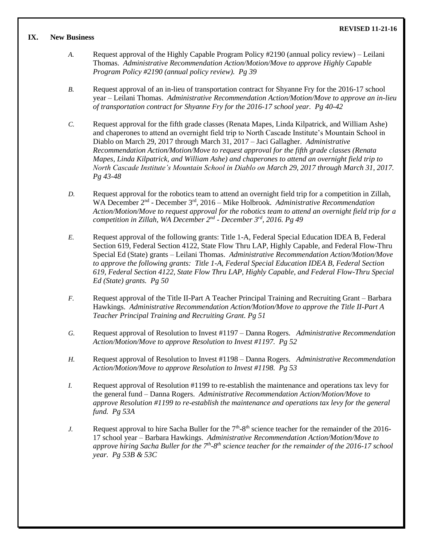# **IX. New Business**

- *A.* Request approval of the Highly Capable Program Policy #2190 (annual policy review) Leilani Thomas. *Administrative Recommendation Action/Motion/Move to approve Highly Capable Program Policy #2190 (annual policy review). Pg 39*
- *B.* Request approval of an in-lieu of transportation contract for Shyanne Fry for the 2016-17 school year – Leilani Thomas. *Administrative Recommendation Action/Motion/Move to approve an in-lieu of transportation contract for Shyanne Fry for the 2016-17 school year. Pg 40-42*
- *C.* Request approval for the fifth grade classes (Renata Mapes, Linda Kilpatrick, and William Ashe) and chaperones to attend an overnight field trip to North Cascade Institute's Mountain School in Diablo on March 29, 2017 through March 31, 2017 – Jaci Gallagher. *Administrative Recommendation Action/Motion/Move to request approval for the fifth grade classes (Renata Mapes, Linda Kilpatrick, and William Ashe) and chaperones to attend an overnight field trip to North Cascade Institute's Mountain School in Diablo on March 29, 2017 through March 31, 2017. Pg 43-48*
- *D.* Request approval for the robotics team to attend an overnight field trip for a competition in Zillah, WA December 2<sup>nd</sup> - December 3<sup>rd</sup>, 2016 – Mike Holbrook. Administrative Recommendation *Action/Motion/Move to request approval for the robotics team to attend an overnight field trip for a competition in Zillah, WA December 2nd - December 3rd, 2016. Pg 49*
- *E.* Request approval of the following grants: Title 1-A, Federal Special Education IDEA B, Federal Section 619, Federal Section 4122, State Flow Thru LAP, Highly Capable, and Federal Flow-Thru Special Ed (State) grants – Leilani Thomas. *Administrative Recommendation Action/Motion/Move to approve the following grants: Title 1-A, Federal Special Education IDEA B, Federal Section 619, Federal Section 4122, State Flow Thru LAP, Highly Capable, and Federal Flow-Thru Special Ed (State) grants. Pg 50*
- *F.* Request approval of the Title II-Part A Teacher Principal Training and Recruiting Grant Barbara Hawkings. *Administrative Recommendation Action/Motion/Move to approve the Title II-Part A Teacher Principal Training and Recruiting Grant. Pg 51*
- *G.* Request approval of Resolution to Invest #1197 Danna Rogers. *Administrative Recommendation Action/Motion/Move to approve Resolution to Invest #1197. Pg 52*
- *H.* Request approval of Resolution to Invest #1198 Danna Rogers. *Administrative Recommendation Action/Motion/Move to approve Resolution to Invest #1198. Pg 53*
- *I.* Request approval of Resolution #1199 to re-establish the maintenance and operations tax levy for the general fund – Danna Rogers. *Administrative Recommendation Action/Motion/Move to approve Resolution #1199 to re-establish the maintenance and operations tax levy for the general fund. Pg 53A*
- *J.* Request approval to hire Sacha Buller for the  $7<sup>th</sup>$ -8<sup>th</sup> science teacher for the remainder of the 2016-17 school year – Barbara Hawkings. *Administrative Recommendation Action/Motion/Move to*  approve hiring Sacha Buller for the 7<sup>th</sup>-8<sup>th</sup> science teacher for the remainder of the 2016-17 school *year. Pg 53B & 53C*